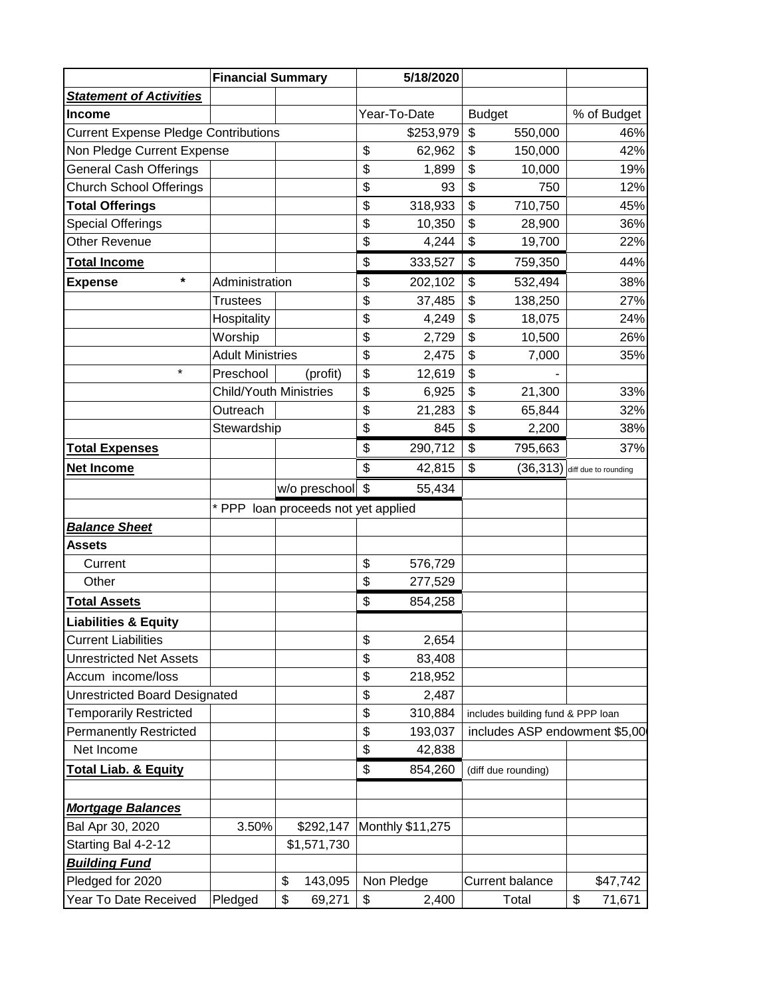|                                             | <b>Financial Summary</b>            |    |                  | 5/18/2020 |                  |         |                                   |              |
|---------------------------------------------|-------------------------------------|----|------------------|-----------|------------------|---------|-----------------------------------|--------------|
| <b>Statement of Activities</b>              |                                     |    |                  |           |                  |         |                                   |              |
| <b>Income</b>                               |                                     |    | Year-To-Date     |           | <b>Budget</b>    |         | % of Budget                       |              |
| <b>Current Expense Pledge Contributions</b> |                                     |    |                  | \$253,979 | \$               | 550,000 | 46%                               |              |
| Non Pledge Current Expense                  |                                     |    |                  | \$        | 62,962           | \$      | 150,000                           | 42%          |
| <b>General Cash Offerings</b>               |                                     |    |                  | \$        | 1,899            | \$      | 10,000                            | 19%          |
| <b>Church School Offerings</b>              |                                     |    |                  | \$        | 93               | \$      | 750                               | 12%          |
| <b>Total Offerings</b>                      |                                     |    |                  | \$        | 318,933          | \$      | 710,750                           | 45%          |
| <b>Special Offerings</b>                    |                                     |    |                  | \$        | 10,350           | \$      | 28,900                            | 36%          |
| Other Revenue                               |                                     |    |                  | \$        | 4,244            | \$      | 19,700                            | 22%          |
| <b>Total Income</b>                         |                                     |    |                  | \$        | 333,527          | \$      | 759,350                           | 44%          |
| $\star$<br><b>Expense</b>                   | Administration                      |    | \$               | 202,102   | \$               | 532,494 | 38%                               |              |
|                                             | <b>Trustees</b>                     |    |                  | \$        | 37,485           | \$      | 138,250                           | 27%          |
|                                             | Hospitality                         |    |                  | \$        | 4,249            | \$      | 18,075                            | 24%          |
|                                             | Worship                             |    |                  | \$        | 2,729            | \$      | 10,500                            | 26%          |
|                                             | <b>Adult Ministries</b>             |    |                  | \$        | 2,475            | \$      | 7,000                             | 35%          |
| $\star$                                     | Preschool                           |    | (profit)         | \$        | 12,619           | \$      |                                   |              |
|                                             | <b>Child/Youth Ministries</b>       |    |                  | \$        | 6,925            | \$      | 21,300                            | 33%          |
|                                             | Outreach                            |    |                  | \$        | 21,283           | \$      | 65,844                            | 32%          |
|                                             | Stewardship                         |    |                  | \$        | 845              | \$      | 2,200                             | 38%          |
| <b>Total Expenses</b>                       |                                     |    |                  | \$        | 290,712          | \$      | 795,663                           | 37%          |
| Net Income                                  |                                     |    |                  | \$        | 42,815           | \$      | $(36,313)$ diff due to rounding   |              |
|                                             |                                     |    | w/o preschool \$ |           | 55,434           |         |                                   |              |
|                                             | * PPP loan proceeds not yet applied |    |                  |           |                  |         |                                   |              |
| <b>Balance Sheet</b>                        |                                     |    |                  |           |                  |         |                                   |              |
| <b>Assets</b>                               |                                     |    |                  |           |                  |         |                                   |              |
| Current                                     |                                     |    |                  | \$        | 576,729          |         |                                   |              |
| Other                                       |                                     |    |                  | \$        | 277,529          |         |                                   |              |
| <b>Total Assets</b>                         |                                     |    |                  | \$        | 854,258          |         |                                   |              |
| <b>Liabilities &amp; Equity</b>             |                                     |    |                  |           |                  |         |                                   |              |
| <b>Current Liabilities</b>                  |                                     |    |                  | \$        | 2,654            |         |                                   |              |
| <b>Unrestricted Net Assets</b>              |                                     |    |                  | \$        | 83,408           |         |                                   |              |
| Accum income/loss                           |                                     |    |                  | \$        | 218,952          |         |                                   |              |
| <b>Unrestricted Board Designated</b>        |                                     |    |                  | \$        | 2,487            |         |                                   |              |
| <b>Temporarily Restricted</b>               |                                     |    |                  | \$        | 310,884          |         | includes building fund & PPP loan |              |
| <b>Permanently Restricted</b>               |                                     |    |                  | \$        | 193,037          |         | includes ASP endowment \$5,00     |              |
| Net Income                                  |                                     |    |                  | \$        | 42,838           |         |                                   |              |
| <b>Total Liab. &amp; Equity</b>             |                                     |    |                  | \$        | 854,260          |         | (diff due rounding)               |              |
|                                             |                                     |    |                  |           |                  |         |                                   |              |
| <b>Mortgage Balances</b>                    |                                     |    |                  |           |                  |         |                                   |              |
| Bal Apr 30, 2020                            | 3.50%                               |    | \$292,147        |           | Monthly \$11,275 |         |                                   |              |
| Starting Bal 4-2-12                         |                                     |    | \$1,571,730      |           |                  |         |                                   |              |
| <b>Building Fund</b>                        |                                     |    |                  |           |                  |         |                                   |              |
| Pledged for 2020                            |                                     | \$ | 143,095          |           | Non Pledge       |         | <b>Current balance</b>            | \$47,742     |
| Year To Date Received                       | Pledged                             | \$ | 69,271           | \$        | 2,400            |         | Total                             | \$<br>71,671 |